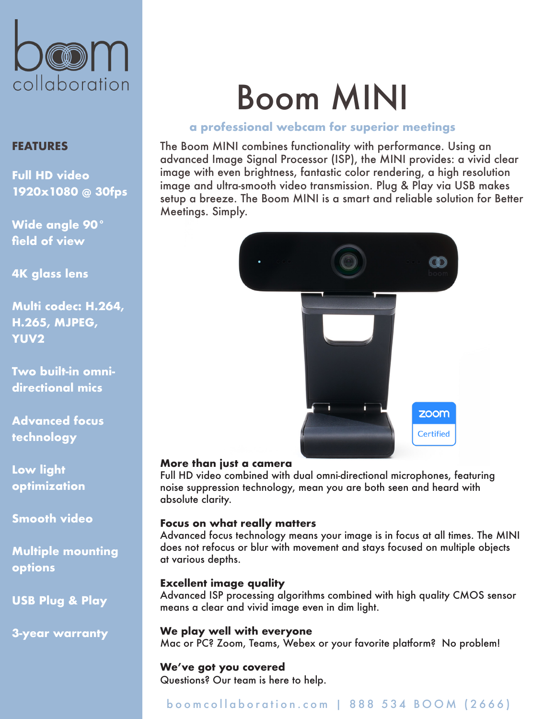

# **FEATURES**

**Full HD video 1920x1080 @ 30fps**

**Wide angle 90° field of view**

**4K glass lens**

**Multi codec: H.264, H.265, MJPEG, YUV2**

**Two built-in omnidirectional mics**

**Advanced focus technology**

**Low light optimization**

**Smooth video**

**Multiple mounting options**

**USB Plug & Play** 

**3-year warranty**

# Boom MINI

## **a professional webcam for superior meetings**

The Boom MINI combines functionality with performance. Using an advanced Image Signal Processor (ISP), the MINI provides: a vivid clear image with even brightness, fantastic color rendering, a high resolution image and ultra-smooth video transmission. Plug & Play via USB makes setup a breeze. The Boom MINI is a smart and reliable solution for Better Meetings. Simply.



## **More than just a camera**

Full HD video combined with dual omni-directional microphones, featuring noise suppression technology, mean you are both seen and heard with absolute clarity.

## **Focus on what really matters**

Advanced focus technology means your image is in focus at all times. The MINI does not refocus or blur with movement and stays focused on multiple objects at various depths.

## **Excellent image quality**

Advanced ISP processing algorithms combined with high quality CMOS sensor means a clear and vivid image even in dim light.

**We play well with everyone** Mac or PC? Zoom, Teams, Webex or your favorite platform? No problem!

# **We've got you covered**

Questions? Our team is here to help.

# boomcollaboration.com | 888 534 BOOM (2666)